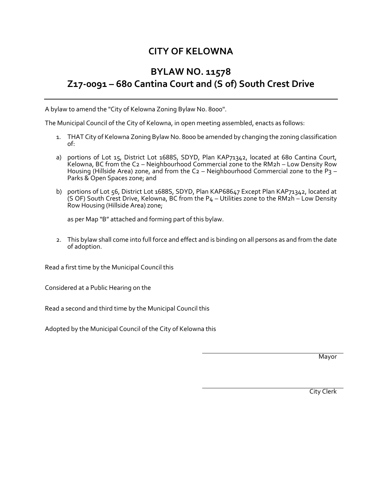## **CITY OF KELOWNA**

## **BYLAW NO. 11578 Z17-0091 – 680 Cantina Court and (S of) South Crest Drive**

A bylaw to amend the "City of Kelowna Zoning Bylaw No. 8000".

The Municipal Council of the City of Kelowna, in open meeting assembled, enacts as follows:

- 1. THAT City of Kelowna Zoning Bylaw No. 8000 be amended by changing the zoning classification of:
- a) portions of Lot 15, District Lot 1688S, SDYD, Plan KAP71342, located at 680 Cantina Court, Kelowna, BC from the C2 – Neighbourhood Commercial zone to the RM2h – Low Density Row Housing (Hillside Area) zone, and from the C2 – Neighbourhood Commercial zone to the P3 – Parks & Open Spaces zone; and
- b) portions of Lot 56, District Lot 1688S, SDYD, Plan KAP68647 Except Plan KAP71342, located at (S OF) South Crest Drive, Kelowna, BC from the P4 – Utilities zone to the RM2h – Low Density Row Housing (Hillside Area) zone;

as per Map "B" attached and forming part of this bylaw.

2. This bylaw shall come into full force and effect and is binding on all persons as and from the date of adoption.

Read a first time by the Municipal Council this

Considered at a Public Hearing on the

Read a second and third time by the Municipal Council this

Adopted by the Municipal Council of the City of Kelowna this

Mayor

City Clerk